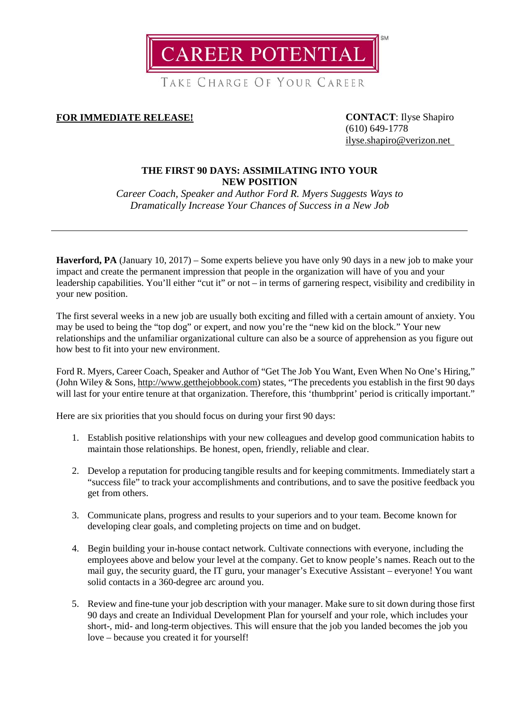**CAREER POTENTIAL** 

TAKE CHARGE OF YOUR CAREER

**FOR IMMEDIATE RELEASE! CONTACT**: Ilyse Shapiro

(610) 649-1778 [ilyse.shapiro@verizon.net](mailto:ilyse.shapiro@verizon.net)

# **THE FIRST 90 DAYS: ASSIMILATING INTO YOUR NEW POSITION**

*Career Coach, Speaker and Author Ford R. Myers Suggests Ways to Dramatically Increase Your Chances of Success in a New Job*

**Haverford, PA** (January 10, 2017) – Some experts believe you have only 90 days in a new job to make your impact and create the permanent impression that people in the organization will have of you and your leadership capabilities. You'll either "cut it" or not – in terms of garnering respect, visibility and credibility in your new position.

The first several weeks in a new job are usually both exciting and filled with a certain amount of anxiety. You may be used to being the "top dog" or expert, and now you're the "new kid on the block." Your new relationships and the unfamiliar organizational culture can also be a source of apprehension as you figure out how best to fit into your new environment.

Ford R. Myers, Career Coach, Speaker and Author of "Get The Job You Want, Even When No One's Hiring," (John Wiley & Sons[, http://www.getthejobbook.com\)](http://www.getthejobbook.com/) states, "The precedents you establish in the first 90 days will last for your entire tenure at that organization. Therefore, this 'thumbprint' period is critically important."

Here are six priorities that you should focus on during your first 90 days:

- 1. Establish positive relationships with your new colleagues and develop good communication habits to maintain those relationships. Be honest, open, friendly, reliable and clear.
- 2. Develop a reputation for producing tangible results and for keeping commitments. Immediately start a "success file" to track your accomplishments and contributions, and to save the positive feedback you get from others.
- 3. Communicate plans, progress and results to your superiors and to your team. Become known for developing clear goals, and completing projects on time and on budget.
- 4. Begin building your in-house contact network. Cultivate connections with everyone, including the employees above and below your level at the company. Get to know people's names. Reach out to the mail guy, the security guard, the IT guru, your manager's Executive Assistant – everyone! You want solid contacts in a 360-degree arc around you.
- 5. Review and fine-tune your job description with your manager. Make sure to sit down during those first 90 days and create an Individual Development Plan for yourself and your role, which includes your short-, mid- and long-term objectives. This will ensure that the job you landed becomes the job you love – because you created it for yourself!